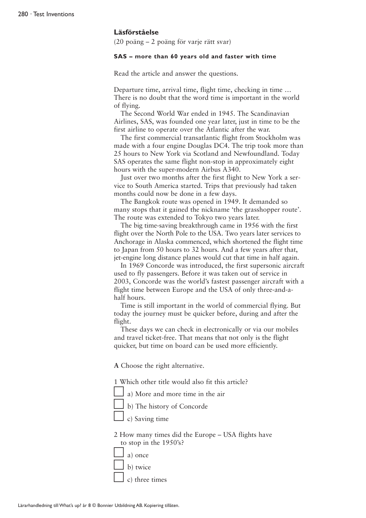#### **Läsförståelse**

(20 poäng – 2 poäng för varje rätt svar)

#### **SAS – more than 60 years old and faster with time**

Read the article and answer the questions.

Departure time, arrival time, flight time, checking in time … There is no doubt that the word time is important in the world of flying.

The Second World War ended in 1945. The Scandinavian Airlines, SAS, was founded one year later, just in time to be the first airline to operate over the Atlantic after the war.

The first commercial transatlantic flight from Stockholm was made with a four engine Douglas DC4. The trip took more than 25 hours to New York via Scotland and Newfoundland. Today SAS operates the same flight non-stop in approximately eight hours with the super-modern Airbus A340.

Just over two months after the first flight to New York a service to South America started. Trips that previously had taken months could now be done in a few days.

The Bangkok route was opened in 1949. It demanded so many stops that it gained the nickname 'the grasshopper route'. The route was extended to Tokyo two years later.

The big time-saving breakthrough came in 1956 with the first flight over the North Pole to the USA. Two years later services to Anchorage in Alaska commenced, which shortened the flight time to Japan from 50 hours to 32 hours. And a few years after that, jet-engine long distance planes would cut that time in half again.

In 1969 Concorde was introduced, the first supersonic aircraft used to fly passengers. Before it was taken out of service in 2003, Concorde was the world's fastest passenger aircraft with a flight time between Europe and the USA of only three-and-ahalf hours.

Time is still important in the world of commercial flying. But today the journey must be quicker before, during and after the flight.

These days we can check in electronically or via our mobiles and travel ticket-free. That means that not only is the flight quicker, but time on board can be used more efficiently.

**A** Choose the right alternative.

1 Which other title would also fit this article?

a) More and more time in the air

b) The history of Concorde



2 How many times did the Europe – USA flights have to stop in the 1950's?

- $\Box$  a) once
- b) twice

c) three times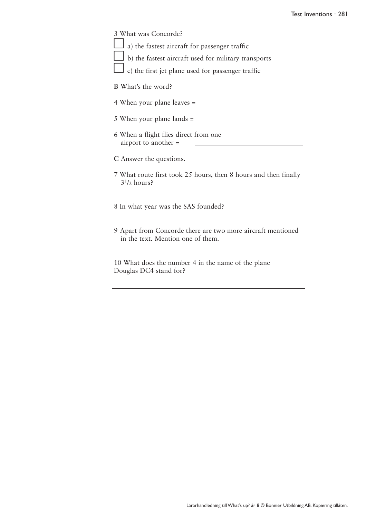| 3 What was Concorde?                                                                                    |
|---------------------------------------------------------------------------------------------------------|
| a) the fastest aircraft for passenger traffic                                                           |
| b) the fastest aircraft used for military transports                                                    |
| c) the first jet plane used for passenger traffic                                                       |
| B What's the word?                                                                                      |
|                                                                                                         |
|                                                                                                         |
| 6 When a flight flies direct from one<br>airport to another =                                           |
| C Answer the questions.                                                                                 |
| 7 What route first took 25 hours, then 8 hours and then finally<br>3 <sup>1</sup> / <sub>2</sub> hours? |
| 8 In what year was the SAS founded?                                                                     |
| 9 Apart from Concorde there are two more aircraft mentioned<br>in the text. Mention one of them.        |
| 10 What does the number 4 in the name of the plane<br>Douglas DC4 stand for?                            |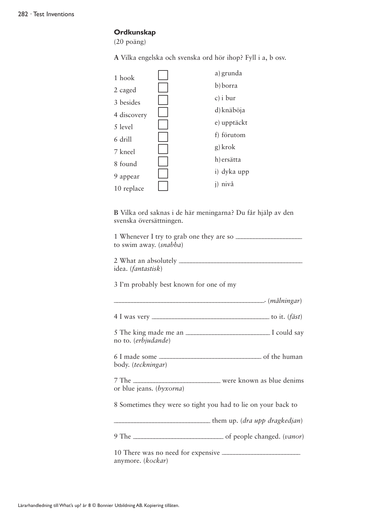# **Ordkunskap**

(20 poäng)

**A** Vilka engelska och svenska ord hör ihop? Fyll i a, b osv.

| 1 hook      | a) grunda   |
|-------------|-------------|
|             | b) borra    |
| 2 caged     | $c)$ i bur  |
| 3 besides   |             |
| 4 discovery | d) knäböja  |
| 5 level     | e) upptäckt |
| 6 drill     | f) förutom  |
| 7 kneel     | g) krok     |
|             | h) ersätta  |
| 8 found     |             |
| 9 appear    | i) dyka upp |
| 10 replace  | nivå        |

**B** Vilka ord saknas i de här meningarna? Du får hjälp av den svenska översättningen.

1 Whenever I try to grab one they are so \_\_\_\_\_\_\_\_\_\_\_\_\_\_\_\_\_\_\_\_\_\_ to swim away. (*snabba*)

2 What an absolutely \_\_\_\_\_\_\_\_\_\_\_\_\_\_\_\_\_\_\_\_\_\_\_\_\_\_\_\_\_\_\_\_\_\_\_\_\_\_\_\_\_ idea. (*fantastisk*)

3 I'm probably best known for one of my

| 4 I was very | to it. $(f\ddot{a}st)$ |  |
|--------------|------------------------|--|

\_\_\_\_\_\_\_\_\_\_\_\_\_\_\_\_\_\_\_\_\_\_\_\_\_\_\_\_\_\_\_\_\_\_\_\_\_\_\_\_\_\_\_\_\_\_\_\_\_\_. (*målningar*)

5 The king made me an \_\_\_\_\_\_\_\_\_\_\_\_\_\_\_\_\_\_\_\_\_\_\_\_\_\_\_\_ I could say no to. (*erbjudande*)

6 I made some \_\_\_\_\_\_\_\_\_\_\_\_\_\_\_\_\_\_\_\_\_\_\_\_\_\_\_\_\_\_\_\_\_\_ of the human body. (*teckningar*)

7 The \_\_\_\_\_\_\_\_\_\_\_\_\_\_\_\_\_\_\_\_\_\_\_\_\_\_\_\_\_ were known as blue denims or blue jeans. (*byxorna*)

8 Sometimes they were so tight you had to lie on your back to

\_\_\_\_\_\_\_\_\_\_\_\_\_\_\_\_\_\_\_\_\_\_\_\_\_\_\_\_\_\_\_\_ them up. (*dra upp dragkedjan*)

9 The \_\_\_\_\_\_\_\_\_\_\_\_\_\_\_\_\_\_\_\_\_\_\_\_\_\_\_\_\_\_ of people changed. (*vanor*)

10 There was no need for expensive \_\_\_\_\_\_\_\_\_\_\_\_\_\_\_\_\_\_\_\_\_\_\_\_\_\_ anymore. (*kockar*)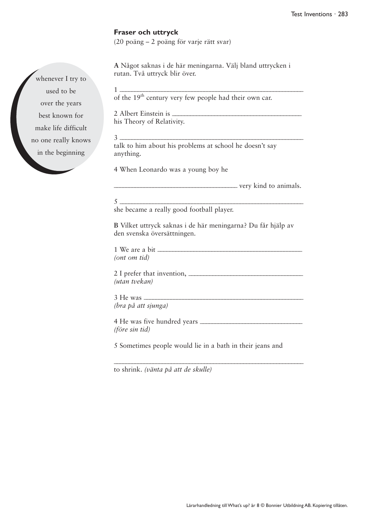## **Fraser och uttryck**

(20 poäng – 2 poäng för varje rätt svar)

**A** Något saknas i de här meningarna. Välj bland uttrycken i rutan. Två uttryck blir över.

1 \_\_\_\_\_\_\_\_\_\_\_\_\_\_\_\_\_\_\_\_\_\_\_\_\_\_\_\_\_\_\_\_\_\_\_\_\_\_\_\_\_\_\_\_\_\_\_\_\_\_\_\_\_\_\_\_\_\_\_\_\_ of the 19<sup>th</sup> century very few people had their own car. 2 Albert Einstein is \_\_\_\_\_\_\_\_\_\_\_\_\_\_\_\_\_\_\_\_\_\_\_\_\_\_\_\_\_\_\_\_\_\_\_\_\_\_\_\_\_\_\_ his Theory of Relativity. 3 \_\_\_\_\_\_\_\_\_\_\_\_\_\_\_\_\_\_\_\_\_\_\_\_\_\_\_\_\_\_\_\_\_\_\_\_\_\_\_\_\_\_\_\_\_\_\_\_\_\_\_\_\_\_\_\_\_\_\_\_\_ talk to him about his problems at school he doesn't say anything. 4 When Leonardo was a young boy he  $\frac{1}{2}$  very kind to animals.  $\frac{5}{}$ she became a really good football player. **B** Vilket uttryck saknas i de här meningarna? Du får hjälp av den svenska översättningen. 1 We are a bit \_\_\_\_\_\_\_\_\_\_\_\_\_\_\_\_\_\_\_\_\_\_\_\_\_\_\_\_\_\_\_\_\_\_\_\_\_\_\_\_\_\_\_\_\_\_\_\_ *(ont om tid)* 2 I prefer that invention, \_\_\_\_\_\_\_\_\_\_\_\_\_\_\_\_\_\_\_\_\_\_\_\_\_\_\_\_\_\_\_\_\_\_\_\_\_\_ *(utan tvekan)*  $3$  He was *(bra på att sjunga)* 4 He was five hundred years \_\_\_\_\_\_\_\_\_\_\_\_\_\_\_\_\_\_\_\_\_\_\_\_\_\_\_\_\_\_\_\_\_\_ *(före sin tid)* 5 Sometimes people would lie in a bath in their jeans and \_\_\_\_\_\_\_\_\_\_\_\_\_\_\_\_\_\_\_\_\_\_\_\_\_\_\_\_\_\_\_\_\_\_\_\_\_\_\_\_\_\_\_\_\_\_\_\_\_\_\_\_\_\_\_\_\_\_\_\_\_\_\_

to shrink. *(vänta på att de skulle)*

whenever I try to used to be over the years best known for make life difficult no one really knows in the beginning